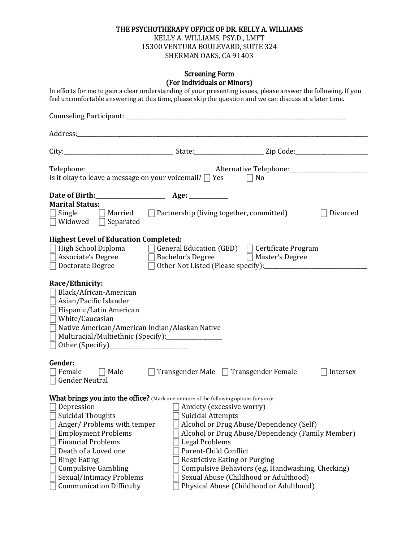## THE PSYCHOTHERAPY OFFICE OF DR. KELLY A. WILLIAMS

KELLY A. WILLIAMS, PSY.D., LMFT 15300 VENTURA BOULEVARD, SUITE 324 SHERMAN OAKS, CA 91403

#### Screening Form (For Individuals or Minors)

| In efforts for me to gain a clear understanding of your presenting issues, please answer the following. If you<br>feel uncomfortable answering at this time, please skip the question and we can discuss at a later time.                                                                                                                                            |                                                                                                         |                                                                                                                                                                                                                                                                              |          |
|----------------------------------------------------------------------------------------------------------------------------------------------------------------------------------------------------------------------------------------------------------------------------------------------------------------------------------------------------------------------|---------------------------------------------------------------------------------------------------------|------------------------------------------------------------------------------------------------------------------------------------------------------------------------------------------------------------------------------------------------------------------------------|----------|
|                                                                                                                                                                                                                                                                                                                                                                      |                                                                                                         |                                                                                                                                                                                                                                                                              |          |
|                                                                                                                                                                                                                                                                                                                                                                      |                                                                                                         |                                                                                                                                                                                                                                                                              |          |
|                                                                                                                                                                                                                                                                                                                                                                      |                                                                                                         |                                                                                                                                                                                                                                                                              |          |
| Is it okay to leave a message on your voicemail? $\Box$ Yes                                                                                                                                                                                                                                                                                                          |                                                                                                         | $\Box$ No                                                                                                                                                                                                                                                                    |          |
| <b>Marital Status:</b><br>Single<br>$\Box$ Married<br>$\Box$ Widowed $\Box$ Separated                                                                                                                                                                                                                                                                                | $\Box$ Partnership (living together, committed)                                                         |                                                                                                                                                                                                                                                                              | Divorced |
| <b>Highest Level of Education Completed:</b><br>High School Diploma $\Box$ General Education (GED) $\Box$ Certificate Program<br>Doctorate Degree                                                                                                                                                                                                                    |                                                                                                         | □ Other Not Listed (Please specify): <u>● National Active</u> 2014                                                                                                                                                                                                           |          |
| Race/Ethnicity:<br>Black/African-American<br>Asian/Pacific Islander<br>Hispanic/Latin American<br>$\Box$ White/Caucasian<br>Native American/American Indian/Alaskan Native<br>Multiracial/Multiethnic (Specify):_______________                                                                                                                                      |                                                                                                         |                                                                                                                                                                                                                                                                              |          |
| Gender:<br>Female<br>$\Box$ Male<br><b>Gender Neutral</b>                                                                                                                                                                                                                                                                                                            | $\Box$ Transgender Male $\Box$ Transgender Female                                                       |                                                                                                                                                                                                                                                                              | Intersex |
| What brings you into the office? (Mark one or more of the following options for you):<br>Depression<br><b>Suicidal Thoughts</b><br>Anger/Problems with temper<br><b>Employment Problems</b><br><b>Financial Problems</b><br>Death of a Loved one<br><b>Binge Eating</b><br><b>Compulsive Gambling</b><br>Sexual/Intimacy Problems<br><b>Communication Difficulty</b> | Anxiety (excessive worry)<br><b>Suicidal Attempts</b><br><b>Legal Problems</b><br>Parent-Child Conflict | Alcohol or Drug Abuse/Dependency (Self)<br>Alcohol or Drug Abuse/Dependency (Family Member)<br><b>Restrictive Eating or Purging</b><br>Compulsive Behaviors (e.g. Handwashing, Checking)<br>Sexual Abuse (Childhood or Adulthood)<br>Physical Abuse (Childhood or Adulthood) |          |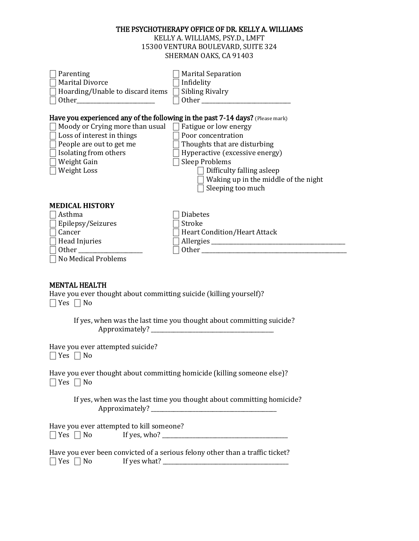#### THE PSYCHOTHERAPY OFFICE OF DR. KELLY A. WILLIAMS

KELLY A. WILLIAMS, PSY.D., LMFT 15300 VENTURA BOULEVARD, SUITE 324 SHERMAN OAKS, CA 91403

| Parenting<br><b>Marital Divorce</b><br>Hoarding/Unable to discard items        | <b>Marital Separation</b><br>Infidelity<br><b>Sibling Rivalry</b><br>Other and the state of the state of the state of the state of the state of the state of the state of the state of the state of the state of the state of the state of the state of the state of the state of the state of the |
|--------------------------------------------------------------------------------|----------------------------------------------------------------------------------------------------------------------------------------------------------------------------------------------------------------------------------------------------------------------------------------------------|
| Have you experienced any of the following in the past 7-14 days? (Please mark) |                                                                                                                                                                                                                                                                                                    |
| Moody or Crying more than usual $\Box$ Fatigue or low energy                   |                                                                                                                                                                                                                                                                                                    |
| Loss of interest in things                                                     | Poor concentration                                                                                                                                                                                                                                                                                 |
| People are out to get me                                                       | Thoughts that are disturbing                                                                                                                                                                                                                                                                       |
| Isolating from others                                                          | Hyperactive (excessive energy)                                                                                                                                                                                                                                                                     |
| Weight Gain                                                                    | <b>Sleep Problems</b>                                                                                                                                                                                                                                                                              |
| Weight Loss                                                                    | Difficulty falling asleep<br>Waking up in the middle of the night<br>Sleeping too much                                                                                                                                                                                                             |
| <b>MEDICAL HISTORY</b>                                                         |                                                                                                                                                                                                                                                                                                    |
| Asthma                                                                         | <b>Diabetes</b>                                                                                                                                                                                                                                                                                    |
| Epilepsy/Seizures                                                              | Stroke                                                                                                                                                                                                                                                                                             |
| Cancer                                                                         | <b>Heart Condition/Heart Attack</b>                                                                                                                                                                                                                                                                |
| Head Injuries                                                                  |                                                                                                                                                                                                                                                                                                    |
| <b>Other</b>                                                                   | Other and the contract of the contract of the contract of the contract of the contract of the contract of the                                                                                                                                                                                      |
| No Medical Problems                                                            |                                                                                                                                                                                                                                                                                                    |

# MENTAL HEALTH

Have you ever thought about committing suicide (killing yourself)?  $\Box$  Yes  $\Box$  No

> If yes, when was the last time you thought about committing suicide? Approximately? \_\_\_\_\_\_\_\_\_\_\_\_\_\_\_\_\_\_\_\_\_\_\_\_\_\_\_\_\_\_\_\_\_\_\_\_\_\_\_\_\_\_\_\_

Have you ever attempted suicide?  $\Box$  Yes  $\Box$  No

Have you ever thought about committing homicide (killing someone else)?  $\Box$  Yes  $\Box$  No

> If yes, when was the last time you thought about committing homicide? Approximately? \_\_\_\_\_\_\_\_\_\_\_\_\_\_\_\_\_\_\_\_\_\_\_\_\_\_\_\_\_\_\_\_\_\_\_\_\_\_\_\_\_\_\_\_\_

Have you ever attempted to kill someone? ⎕ Yes ⎕ No If yes, who? \_\_\_\_\_\_\_\_\_\_\_\_\_\_\_\_\_\_\_\_\_\_\_\_\_\_\_\_\_\_\_\_\_\_\_\_\_\_\_\_\_\_\_\_\_

Have you ever been convicted of a serious felony other than a traffic ticket? ⎕ Yes ⎕ No If yes what? \_\_\_\_\_\_\_\_\_\_\_\_\_\_\_\_\_\_\_\_\_\_\_\_\_\_\_\_\_\_\_\_\_\_\_\_\_\_\_\_\_\_\_\_\_